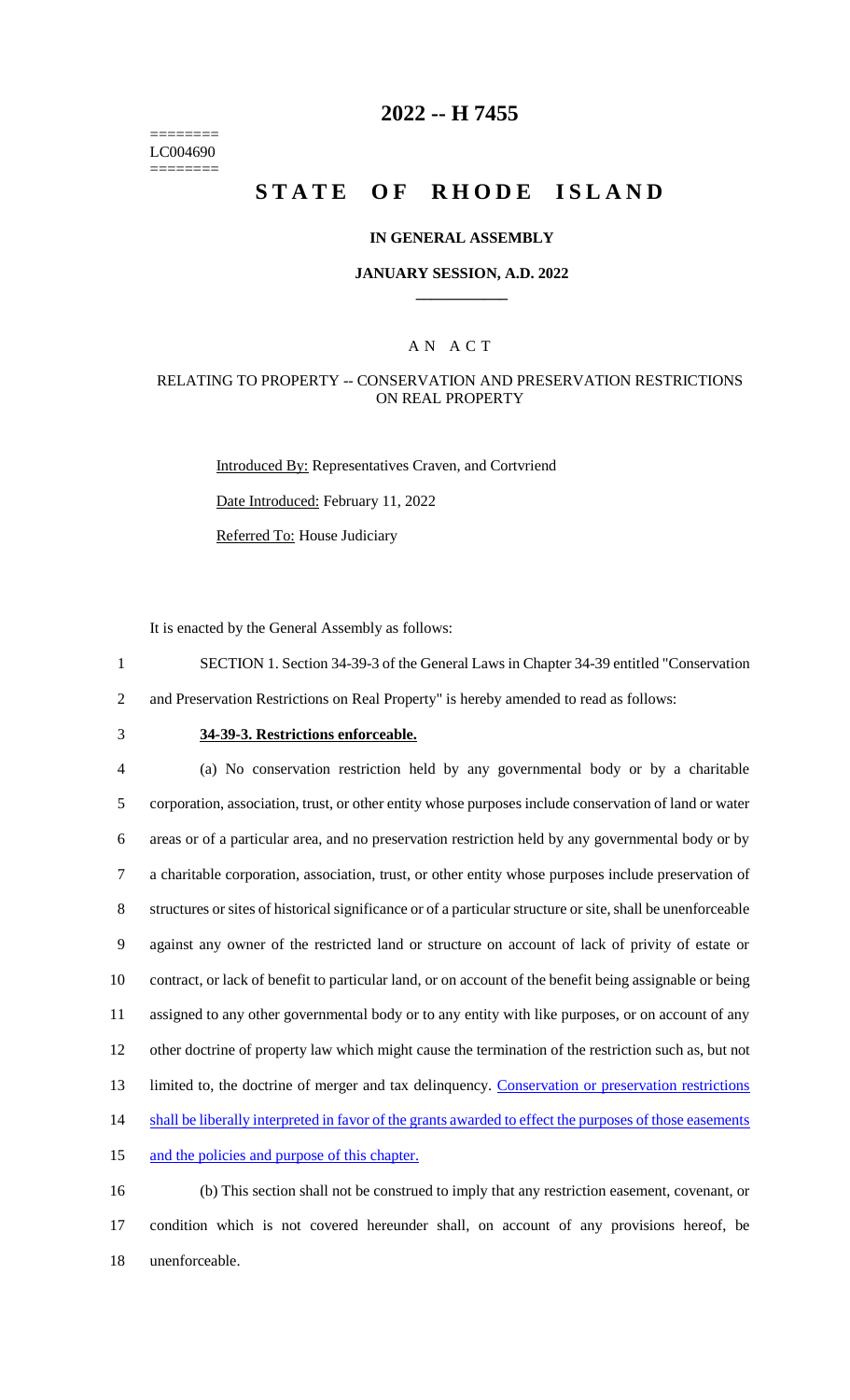======== LC004690 ========

## **2022 -- H 7455**

# **STATE OF RHODE ISLAND**

### **IN GENERAL ASSEMBLY**

### **JANUARY SESSION, A.D. 2022 \_\_\_\_\_\_\_\_\_\_\_\_**

### A N A C T

### RELATING TO PROPERTY -- CONSERVATION AND PRESERVATION RESTRICTIONS ON REAL PROPERTY

Introduced By: Representatives Craven, and Cortvriend Date Introduced: February 11, 2022 Referred To: House Judiciary

It is enacted by the General Assembly as follows:

- 1 SECTION 1. Section 34-39-3 of the General Laws in Chapter 34-39 entitled "Conservation
- 2 and Preservation Restrictions on Real Property" is hereby amended to read as follows:
- 

## 3 **34-39-3. Restrictions enforceable.**

 (a) No conservation restriction held by any governmental body or by a charitable corporation, association, trust, or other entity whose purposes include conservation of land or water areas or of a particular area, and no preservation restriction held by any governmental body or by a charitable corporation, association, trust, or other entity whose purposes include preservation of structures or sites of historical significance or of a particular structure or site, shall be unenforceable against any owner of the restricted land or structure on account of lack of privity of estate or contract, or lack of benefit to particular land, or on account of the benefit being assignable or being assigned to any other governmental body or to any entity with like purposes, or on account of any other doctrine of property law which might cause the termination of the restriction such as, but not 13 limited to, the doctrine of merger and tax delinquency. Conservation or preservation restrictions 14 shall be liberally interpreted in favor of the grants awarded to effect the purposes of those easements and the policies and purpose of this chapter.

16 (b) This section shall not be construed to imply that any restriction easement, covenant, or 17 condition which is not covered hereunder shall, on account of any provisions hereof, be 18 unenforceable.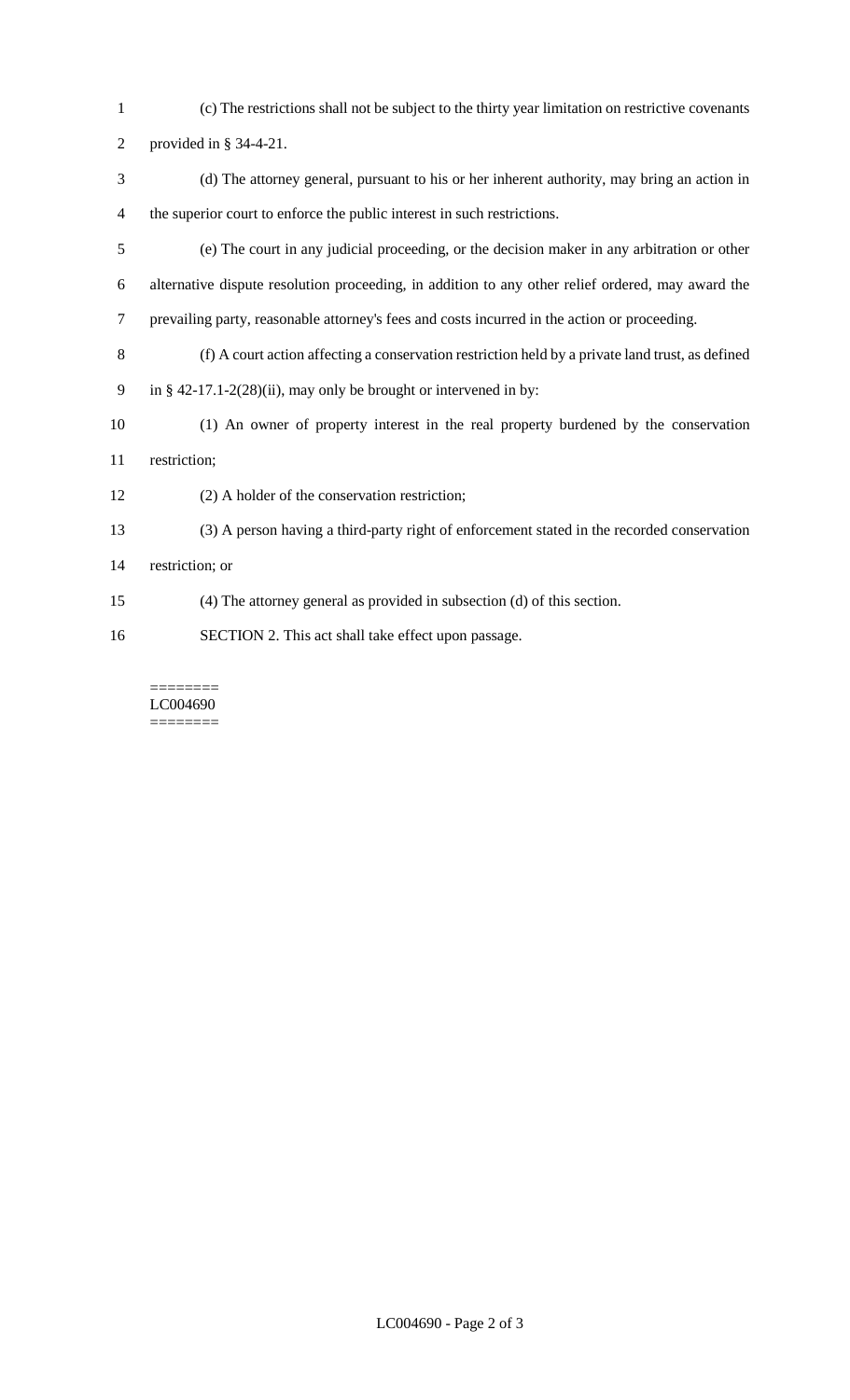- (c) The restrictions shall not be subject to the thirty year limitation on restrictive covenants
- provided in § 34-4-21.
- (d) The attorney general, pursuant to his or her inherent authority, may bring an action in the superior court to enforce the public interest in such restrictions.
- (e) The court in any judicial proceeding, or the decision maker in any arbitration or other alternative dispute resolution proceeding, in addition to any other relief ordered, may award the prevailing party, reasonable attorney's fees and costs incurred in the action or proceeding.
- (f) A court action affecting a conservation restriction held by a private land trust, as defined
- in § 42-17.1-2(28)(ii), may only be brought or intervened in by:
- (1) An owner of property interest in the real property burdened by the conservation restriction;
- (2) A holder of the conservation restriction;
- (3) A person having a third-party right of enforcement stated in the recorded conservation
- restriction; or
- (4) The attorney general as provided in subsection (d) of this section.
- SECTION 2. This act shall take effect upon passage.

======== LC004690 ========